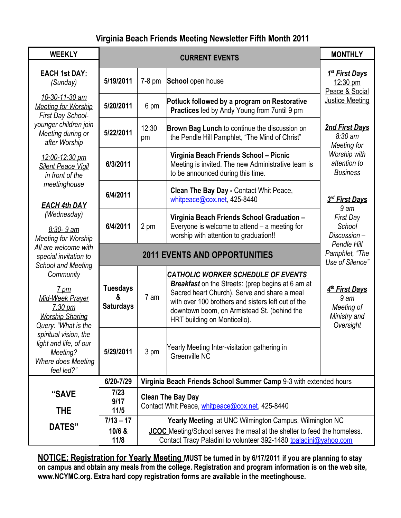## **Virginia Beach Friends Meeting Newsletter Fifth Month 2011**

| <b>WEEKLY</b>                                                                                                                                                        | <b>CURRENT EVENTS</b>                    |                                                                                                                                                     |                                                                                                                                                                                                                                                                                            | <b>MONTHLY</b>                                                                           |
|----------------------------------------------------------------------------------------------------------------------------------------------------------------------|------------------------------------------|-----------------------------------------------------------------------------------------------------------------------------------------------------|--------------------------------------------------------------------------------------------------------------------------------------------------------------------------------------------------------------------------------------------------------------------------------------------|------------------------------------------------------------------------------------------|
| <b>EACH 1st DAY:</b><br>(Sunday)<br>10-30-11-30 am<br><b>Meeting for Worship</b><br>First Day School-<br>younger children join<br>Meeting during or<br>after Worship | 5/19/2011<br>5/20/2011                   | $7-8$ pm<br>6 pm                                                                                                                                    | School open house<br>Potluck followed by a program on Restorative                                                                                                                                                                                                                          | <u>1<sup>st</sup> First Days</u><br>12:30 pm<br>Peace & Social<br><b>Justice Meeting</b> |
|                                                                                                                                                                      | 5/22/2011                                | 12:30<br>pm                                                                                                                                         | Practices led by Andy Young from 7until 9 pm<br>Brown Bag Lunch to continue the discussion on<br>the Pendle Hill Pamphlet, "The Mind of Christ"                                                                                                                                            | <b>2nd First Days</b><br>$8:30 \text{ am}$<br>Meeting for                                |
| 12:00-12:30 pm<br><b>Silent Peace Vigil</b><br>in front of the                                                                                                       | 6/3/2011                                 |                                                                                                                                                     | Virginia Beach Friends School - Picnic<br>Meeting is invited. The new Administrative team is<br>to be announced during this time.                                                                                                                                                          | Worship with<br>attention to<br><b>Business</b>                                          |
| meetinghouse<br><b>EACH 4th DAY</b>                                                                                                                                  | 6/4/2011                                 |                                                                                                                                                     | Clean The Bay Day - Contact Whit Peace,<br>whitpeace@cox.net, 425-8440                                                                                                                                                                                                                     | 3rd First Days<br>9 <sub>am</sub>                                                        |
| (Wednesday)<br>8:30-9 am<br><b>Meeting for Worship</b>                                                                                                               | 6/4/2011                                 | 2 pm                                                                                                                                                | Virginia Beach Friends School Graduation -<br>Everyone is welcome to attend $-$ a meeting for<br>worship with attention to graduation!!                                                                                                                                                    | <b>First Day</b><br>School<br>Discussion-<br>Pendle Hill                                 |
| All are welcome with<br>special invitation to                                                                                                                        | <b>2011 EVENTS AND OPPORTUNITIES</b>     |                                                                                                                                                     |                                                                                                                                                                                                                                                                                            | Pamphlet, "The<br>Use of Silence"                                                        |
| <b>School and Meeting</b><br>Community<br>$7 \text{ pm}$<br>Mid-Week Prayer<br>$7:30 \text{ pm}$<br><b>Worship Sharing</b><br>Query: "What is the                    | <b>Tuesdays</b><br>&<br><b>Saturdays</b> | 7 am                                                                                                                                                | <b>CATHOLIC WORKER SCHEDULE OF EVENTS</b><br><b>Breakfast</b> on the Streets: (prep begins at 6 am at<br>Sacred heart Church). Serve and share a meal<br>with over 100 brothers and sisters left out of the<br>downtown boom, on Armistead St. (behind the<br>HRT building on Monticello). | 4 <sup>th</sup> First Days<br>9 <sub>am</sub><br>Meeting of<br>Ministry and<br>Oversight |
| spiritual vision, the<br>light and life, of our<br>Meeting?<br>Where does Meeting<br>feel led?"                                                                      | 5/29/2011                                | 3 pm                                                                                                                                                | Yearly Meeting Inter-visitation gathering in<br>Greenville NC                                                                                                                                                                                                                              |                                                                                          |
|                                                                                                                                                                      | 6/20-7/29                                | Virginia Beach Friends School Summer Camp 9-3 with extended hours                                                                                   |                                                                                                                                                                                                                                                                                            |                                                                                          |
| "SAVE<br><b>THE</b>                                                                                                                                                  | 7/23<br>9/17<br>11/5                     | <b>Clean The Bay Day</b><br>Contact Whit Peace, whitpeace@cox.net, 425-8440                                                                         |                                                                                                                                                                                                                                                                                            |                                                                                          |
| <b>DATES"</b>                                                                                                                                                        | $7/13 - 17$                              | <b>Yearly Meeting at UNC Wilmington Campus, Wilmington NC</b>                                                                                       |                                                                                                                                                                                                                                                                                            |                                                                                          |
|                                                                                                                                                                      | 10/6 &<br>11/8                           | <b>JCOC</b> Meeting/School serves the meal at the shelter to feed the homeless.<br>Contact Tracy Paladini to volunteer 392-1480 tpaladini@yahoo.com |                                                                                                                                                                                                                                                                                            |                                                                                          |

**NOTICE: Registration for Yearly Meeting MUST be turned in by 6/17/2011 if you are planning to stay on campus and obtain any meals from the college. Registration and program information is on the web site, www.NCYMC.org. Extra hard copy registration forms are available in the meetinghouse.**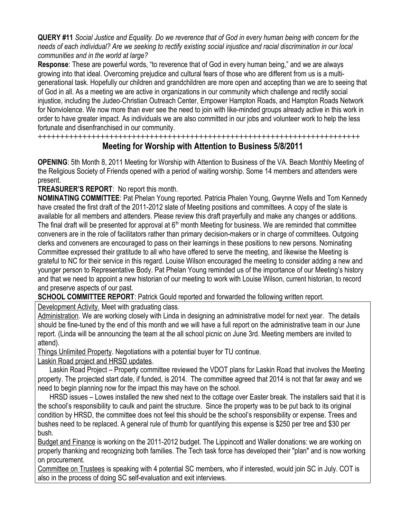**QUERY #11** *Social Justice and Equality. Do we reverence that of God in every human being with concern for the needs of each individual? Are we seeking to rectify existing social injustice and racial discrimination in our local communities and in the world at large?*

**Response**: These are powerful words, "to reverence that of God in every human being," and we are always growing into that ideal. Overcoming prejudice and cultural fears of those who are different from us is a multigenerational task. Hopefully our children and grandchildren are more open and accepting than we are to seeing that of God in all. As a meeting we are active in organizations in our community which challenge and rectify social injustice, including the Judeo-Christian Outreach Center, Empower Hampton Roads, and Hampton Roads Network for Nonviolence. We now more than ever see the need to join with like-minded groups already active in this work in order to have greater impact. As individuals we are also committed in our jobs and volunteer work to help the less fortunate and disenfranchised in our community.

**++++++++++++++++++++++++++++++++++++++++++++++++++++++++++++++++++++++++**

## **Meeting for Worship with Attention to Business 5/8/2011**

**OPENING**: 5th Month 8, 2011 Meeting for Worship with Attention to Business of the VA. Beach Monthly Meeting of the Religious Society of Friends opened with a period of waiting worship. Some 14 members and attenders were present.

**TREASURER'S REPORT**: No report this month.

**NOMINATING COMMITTEE**: Pat Phelan Young reported. Patricia Phalen Young, Gwynne Wells and Tom Kennedy have created the first draft of the 2011-2012 slate of Meeting positions and committees. A copy of the slate is available for all members and attenders. Please review this draft prayerfully and make any changes or additions. The final draft will be presented for approval at  $6<sup>th</sup>$  month Meeting for business. We are reminded that committee conveners are in the role of facilitators rather than primary decision-makers or in charge of committees. Outgoing clerks and conveners are encouraged to pass on their learnings in these positions to new persons. Nominating Committee expressed their gratitude to all who have offered to serve the meeting, and likewise the Meeting is grateful to NC for their service in this regard. Louise Wilson encouraged the meeting to consider adding a new and younger person to Representative Body. Pat Phelan Young reminded us of the importance of our Meeting's history and that we need to appoint a new historian of our meeting to work with Louise Wilson, current historian, to record and preserve aspects of our past.

**SCHOOL COMMITTEE REPORT:** Patrick Gould reported and forwarded the following written report.

Development Activity. Meet with graduating class.

Administration. We are working closely with Linda in designing an administrative model for next year. The details should be fine-tuned by the end of this month and we will have a full report on the administrative team in our June report. (Linda will be announcing the team at the all school picnic on June 3rd. Meeting members are invited to attend).

Things Unlimited Property. Negotiations with a potential buyer for TU continue.

Laskin Road project and HRSD updates.

Laskin Road Project – Property committee reviewed the VDOT plans for Laskin Road that involves the Meeting property. The projected start date, if funded, is 2014. The committee agreed that 2014 is not that far away and we need to begin planning now for the impact this may have on the school.

HRSD issues – Lowes installed the new shed next to the cottage over Easter break. The installers said that it is the school's responsibility to caulk and paint the structure. Since the property was to be put back to its original condition by HRSD, the committee does not feel this should be the school's responsibility or expense. Trees and bushes need to be replaced. A general rule of thumb for quantifying this expense is \$250 per tree and \$30 per bush.

Budget and Finance is working on the 2011-2012 budget. The Lippincott and Waller donations: we are working on properly thanking and recognizing both families. The Tech task force has developed their "plan" and is now working on procurement.

Committee on Trustees is speaking with 4 potential SC members, who if interested, would join SC in July. COT is also in the process of doing SC self-evaluation and exit interviews.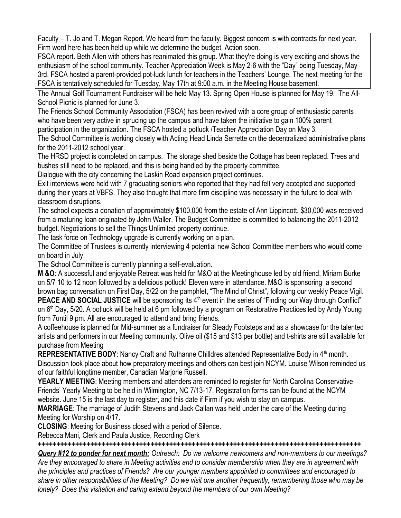Faculty – T. Jo and T. Megan Report. We heard from the faculty. Biggest concern is with contracts for next year. Firm word here has been held up while we determine the budget. Action soon.

FSCA report. Beth Allen with others has reanimated this group. What they're doing is very exciting and shows the enthusiasm of the school community. Teacher Appreciation Week is May 2-6 with the "Day" being Tuesday, May 3rd. FSCA hosted a parent-provided pot-luck lunch for teachers in the Teachers' Lounge. The next meeting for the FSCA is tentatively scheduled for Tuesday, May 17th at 9:00 a.m. in the Meeting House basement.

The Annual Golf Tournament Fundraiser will be held May 13. Spring Open House is planned for May 19. The All-School Picnic is planned for June 3.

The Friends School Community Association (FSCA) has been revived with a core group of enthusiastic parents who have been very active in sprucing up the campus and have taken the initiative to gain 100% parent participation in the organization. The FSCA hosted a potluck /Teacher Appreciation Day on May 3.

The School Committee is working closely with Acting Head Linda Serrette on the decentralized administrative plans for the 2011-2012 school year.

The HRSD project is completed on campus. The storage shed beside the Cottage has been replaced. Trees and bushes still need to be replaced, and this is being handled by the property committee.

Dialogue with the city concerning the Laskin Road expansion project continues.

Exit interviews were held with 7 graduating seniors who reported that they had felt very accepted and supported during their years at VBFS. They also thought that more firm discipline was necessary in the future to deal with classroom disruptions.

The school expects a donation of approximately \$100,000 from the estate of Ann Lippincott. \$30,000 was received from a maturing loan originated by John Waller. The Budget Committee is committed to balancing the 2011-2012 budget. Negotiations to sell the Things Unlimited property continue.

The task force on Technology upgrade is currently working on a plan.

The Committee of Trustees is currently interviewing 4 potential new School Committee members who would come on board in July.

The School Committee is currently planning a self-evaluation.

**M &O**: A successful and enjoyable Retreat was held for M&O at the Meetinghouse led by old friend, Miriam Burke on 5/7 10 to 12 noon followed by a delicious potluck! Eleven were in attendance. M&O is sponsoring a second brown bag conversation on First Day, 5/22 on the pamphlet, "The Mind of Christ", following our weekly Peace Vigil. **PEACE AND SOCIAL JUSTICE** will be sponsoring its 4<sup>th</sup> event in the series of "Finding our Way through Conflict"

on 6<sup>th</sup> Day, 5/20. A potluck will be held at 6 pm followed by a program on Restorative Practices led by Andy Young from 7until 9 pm. All are encouraged to attend and bring friends.

A coffeehouse is planned for Mid-summer as a fundraiser for Steady Footsteps and as a showcase for the talented artists and performers in our Meeting community. Olive oil (\$15 and \$13 per bottle) and t-shirts are still available for purchase from Meeting

**REPRESENTATIVE BODY:** Nancy Craft and Ruthanne Chilldres attended Representative Body in 4<sup>th</sup> month. Discussion took place about how preparatory meetings and others can best join NCYM. Louise Wilson reminded us of our faithful longtime member, Canadian Marjorie Russell.

**YEARLY MEETING**: Meeting members and attenders are reminded to register for North Carolina Conservative Friends' Yearly Meeting to be held in Wilmington, NC 7/13-17. Registration forms can be found at the NCYM website. June 15 is the last day to register, and this date if Firm if you wish to stay on campus.

**MARRIAGE**: The marriage of Judith Stevens and Jack Callan was held under the care of the Meeting during Meeting for Worship on 4/17.

**CLOSING**: Meeting for Business closed with a period of Silence.

Rebecca Mani, Clerk and Paula Justice, Recording Clerk

*++++++++++++++++++++++++++++++++++++++++++++++++++++++++++++++++++++++++++++++++++++++*

*Query #12 to ponder for next month: Outreach: Do we welcome newcomers and non-members to our meetings? Are they encouraged to share in Meeting activities and to consider membership when they are in agreement with the principles and practices of Friends? Are our younger members appointed to committees and encouraged to share in other responsibilities of the Meeting? Do we visit one another frequently, remembering those who may be lonely? Does this visitation and caring extend beyond the members of our own Meeting?*